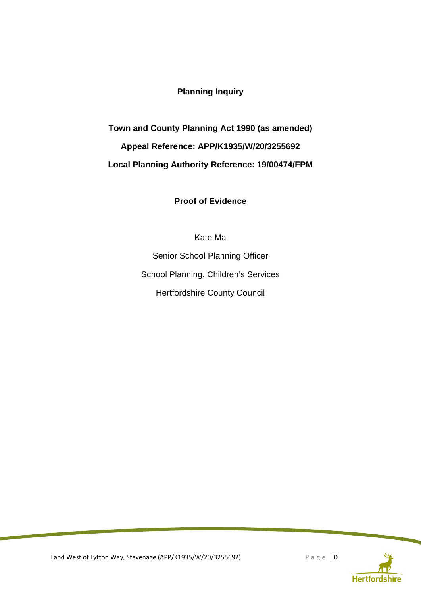# **Planning Inquiry**

# **Town and County Planning Act 1990 (as amended) Appeal Reference: APP/K1935/W/20/3255692 Local Planning Authority Reference: 19/00474/FPM**

**Proof of Evidence** 

Kate Ma

Senior School Planning Officer

School Planning, Children's Services

Hertfordshire County Council

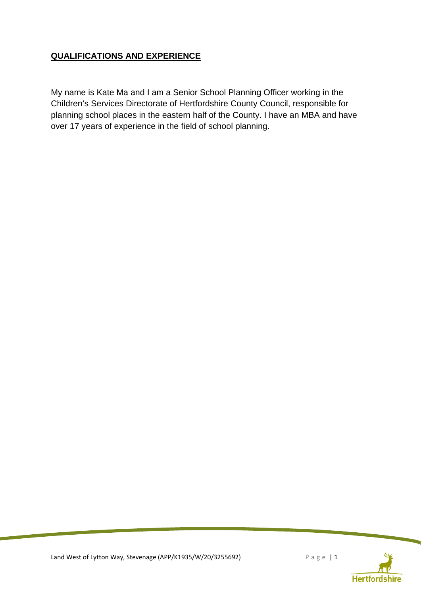# **QUALIFICATIONS AND EXPERIENCE**

My name is Kate Ma and I am a Senior School Planning Officer working in the Children's Services Directorate of Hertfordshire County Council, responsible for planning school places in the eastern half of the County. I have an MBA and have over 17 years of experience in the field of school planning.

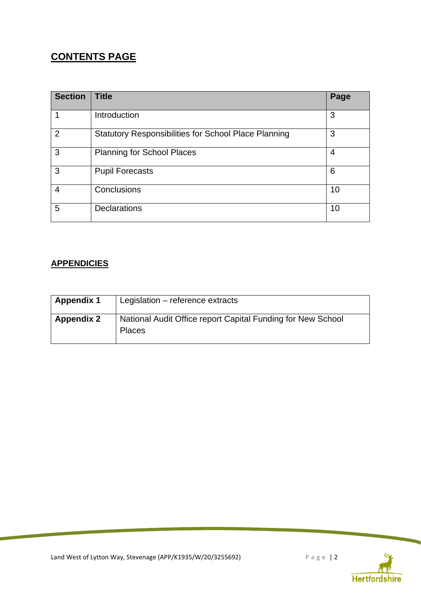# **CONTENTS PAGE**

| <b>Section</b> | <b>Title</b>                                                | Page |
|----------------|-------------------------------------------------------------|------|
|                | Introduction                                                | 3    |
| $\overline{2}$ | <b>Statutory Responsibilities for School Place Planning</b> | 3    |
| 3              | <b>Planning for School Places</b>                           | 4    |
| 3              | <b>Pupil Forecasts</b>                                      | 6    |
| 4              | Conclusions                                                 | 10   |
| 5              | <b>Declarations</b>                                         | 10   |

# **APPENDICIES**

| <b>Appendix 1</b> | Legislation - reference extracts                                             |
|-------------------|------------------------------------------------------------------------------|
| <b>Appendix 2</b> | National Audit Office report Capital Funding for New School<br><b>Places</b> |

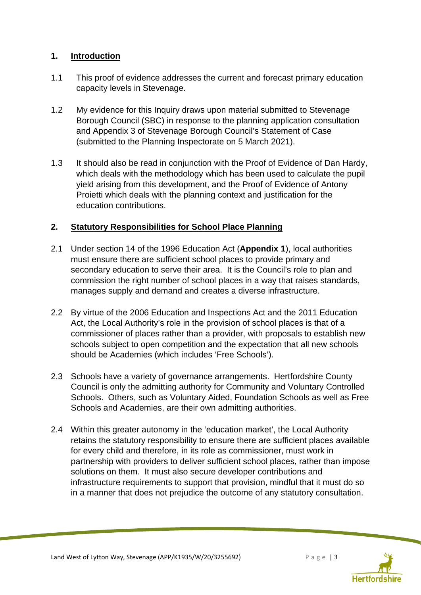#### **1. Introduction**

- 1.1 This proof of evidence addresses the current and forecast primary education capacity levels in Stevenage.
- 1.2 My evidence for this Inquiry draws upon material submitted to Stevenage Borough Council (SBC) in response to the planning application consultation and Appendix 3 of Stevenage Borough Council's Statement of Case (submitted to the Planning Inspectorate on 5 March 2021).
- 1.3 It should also be read in conjunction with the Proof of Evidence of Dan Hardy, which deals with the methodology which has been used to calculate the pupil yield arising from this development, and the Proof of Evidence of Antony Proietti which deals with the planning context and justification for the education contributions.

# **2. Statutory Responsibilities for School Place Planning**

- 2.1 Under section 14 of the 1996 Education Act (**Appendix 1**), local authorities must ensure there are sufficient school places to provide primary and secondary education to serve their area. It is the Council's role to plan and commission the right number of school places in a way that raises standards, manages supply and demand and creates a diverse infrastructure.
- 2.2 By virtue of the 2006 Education and Inspections Act and the 2011 Education Act, the Local Authority's role in the provision of school places is that of a commissioner of places rather than a provider, with proposals to establish new schools subject to open competition and the expectation that all new schools should be Academies (which includes 'Free Schools').
- 2.3 Schools have a variety of governance arrangements. Hertfordshire County Council is only the admitting authority for Community and Voluntary Controlled Schools. Others, such as Voluntary Aided, Foundation Schools as well as Free Schools and Academies, are their own admitting authorities.
- 2.4 Within this greater autonomy in the 'education market', the Local Authority retains the statutory responsibility to ensure there are sufficient places available for every child and therefore, in its role as commissioner, must work in partnership with providers to deliver sufficient school places, rather than impose solutions on them. It must also secure developer contributions and infrastructure requirements to support that provision, mindful that it must do so in a manner that does not prejudice the outcome of any statutory consultation.



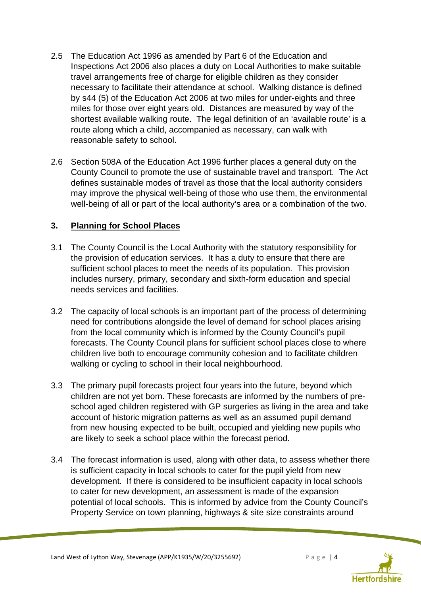- 2.5 The Education Act 1996 as amended by Part 6 of the Education and Inspections Act 2006 also places a duty on Local Authorities to make suitable travel arrangements free of charge for eligible children as they consider necessary to facilitate their attendance at school. Walking distance is defined by s44 (5) of the Education Act 2006 at two miles for under-eights and three miles for those over eight years old. Distances are measured by way of the shortest available walking route. The legal definition of an 'available route' is a route along which a child, accompanied as necessary, can walk with reasonable safety to school.
- 2.6 Section 508A of the Education Act 1996 further places a general duty on the County Council to promote the use of sustainable travel and transport. The Act defines sustainable modes of travel as those that the local authority considers may improve the physical well-being of those who use them, the environmental well-being of all or part of the local authority's area or a combination of the two.

#### **3. Planning for School Places**

- 3.1 The County Council is the Local Authority with the statutory responsibility for the provision of education services. It has a duty to ensure that there are sufficient school places to meet the needs of its population. This provision includes nursery, primary, secondary and sixth-form education and special needs services and facilities.
- 3.2 The capacity of local schools is an important part of the process of determining need for contributions alongside the level of demand for school places arising from the local community which is informed by the County Council's pupil forecasts. The County Council plans for sufficient school places close to where children live both to encourage community cohesion and to facilitate children walking or cycling to school in their local neighbourhood.
- 3.3 The primary pupil forecasts project four years into the future, beyond which children are not yet born. These forecasts are informed by the numbers of preschool aged children registered with GP surgeries as living in the area and take account of historic migration patterns as well as an assumed pupil demand from new housing expected to be built, occupied and yielding new pupils who are likely to seek a school place within the forecast period.
- 3.4 The forecast information is used, along with other data, to assess whether there is sufficient capacity in local schools to cater for the pupil yield from new development. If there is considered to be insufficient capacity in local schools to cater for new development, an assessment is made of the expansion potential of local schools. This is informed by advice from the County Council's Property Service on town planning, highways & site size constraints around

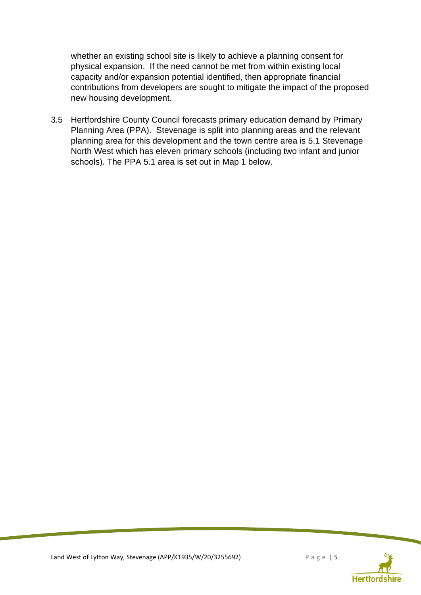whether an existing school site is likely to achieve a planning consent for physical expansion. If the need cannot be met from within existing local capacity and/or expansion potential identified, then appropriate financial contributions from developers are sought to mitigate the impact of the proposed new housing development.

3.5 Hertfordshire County Council forecasts primary education demand by Primary Planning Area (PPA). Stevenage is split into planning areas and the relevant planning area for this development and the town centre area is 5.1 Stevenage North West which has eleven primary schools (including two infant and junior schools). The PPA 5.1 area is set out in Map 1 below.

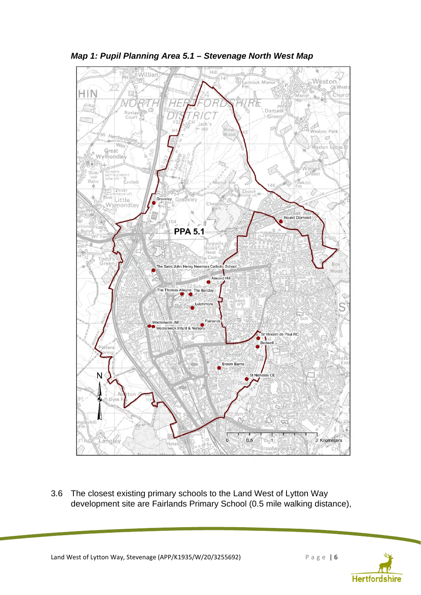

*Map 1: Pupil Planning Area 5.1 – Stevenage North West Map*

3.6 The closest existing primary schools to the Land West of Lytton Way development site are Fairlands Primary School (0.5 mile walking distance),

Land West of Lytton Way, Stevenage (APP/K1935/W/20/3255692) Page | 6

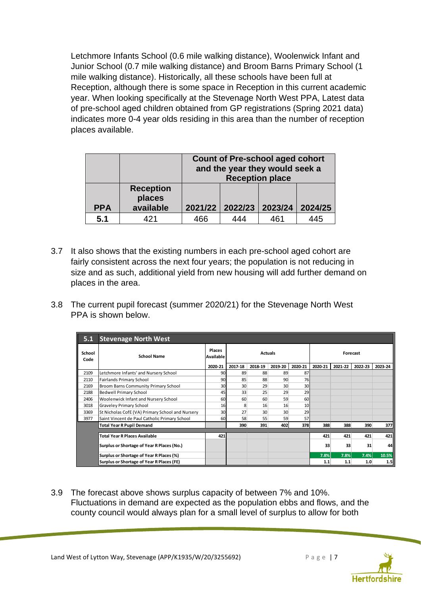Letchmore Infants School (0.6 mile walking distance), Woolenwick Infant and Junior School (0.7 mile walking distance) and Broom Barns Primary School (1 mile walking distance). Historically, all these schools have been full at Reception, although there is some space in Reception in this current academic year. When looking specifically at the Stevenage North West PPA, Latest data of pre-school aged children obtained from GP registrations (Spring 2021 data) indicates more 0-4 year olds residing in this area than the number of reception places available.

|            |                                         | <b>Count of Pre-school aged cohort</b><br>and the year they would seek a<br><b>Reception place</b> |                 |         |         |  |
|------------|-----------------------------------------|----------------------------------------------------------------------------------------------------|-----------------|---------|---------|--|
| <b>PPA</b> | <b>Reception</b><br>places<br>available |                                                                                                    | 2021/22 2022/23 | 2023/24 | 2024/25 |  |
| 5.1        | 421                                     | 466                                                                                                | 444             | 461     | 445     |  |

- 3.7 It also shows that the existing numbers in each pre-school aged cohort are fairly consistent across the next four years; the population is not reducing in size and as such, additional yield from new housing will add further demand on places in the area.
- 3.8 The current pupil forecast (summer 2020/21) for the Stevenage North West PPA is shown below.

| 5.1            | <b>Stevenage North West</b>                      |                            |                |                 |                 |                 |         |         |         |         |
|----------------|--------------------------------------------------|----------------------------|----------------|-----------------|-----------------|-----------------|---------|---------|---------|---------|
| School<br>Code | <b>School Name</b>                               | Places<br><b>Available</b> | <b>Actuals</b> |                 |                 | Forecast        |         |         |         |         |
|                |                                                  | 2020-21                    | 2017-18        | 2018-19         | 2019-20         | 2020-21         | 2020-21 | 2021-22 | 2022-23 | 2023-24 |
| 2109           | Letchmore Infants' and Nursery School            | 90                         | 89             | 88              | 89              | 87              |         |         |         |         |
| 2110           | Fairlands Primary School                         | 90                         | 85             | 88              | 90              | 76              |         |         |         |         |
| 2169           | Broom Barns Community Primary School             | 30                         | 30             | 29              | 30 <sup>°</sup> | 30              |         |         |         |         |
| 2188           | <b>Bedwell Primary School</b>                    | 45                         | 33             | 25              | 29              | 29              |         |         |         |         |
| 2406           | Woolenwick Infant and Nursery School             | 60                         | 60             | 60              | 59              | 60              |         |         |         |         |
| 3018           | Graveley Primary School                          | 16                         | 8              | 16              | 16              | 10 <sup>1</sup> |         |         |         |         |
| 3369           | St Nicholas CofE (VA) Primary School and Nursery | 30                         | 27             | 30 <sup>1</sup> | 30              | 29              |         |         |         |         |
| 3977           | Saint Vincent de Paul Catholic Primary School    | 60                         | 58             | 55              | 59              | 57              |         |         |         |         |
|                | <b>Total Year R Pupil Demand</b>                 |                            | 390            | 391             | 402             | 378             | 388     | 388     | 390     | 377     |
|                |                                                  |                            |                |                 |                 |                 |         |         |         |         |
|                | <b>Total Year R Places Available</b>             | 421                        |                |                 |                 |                 | 421     | 421     | 421     | 421     |
|                | Surplus or Shortage of Year R Places (No.)       |                            |                |                 |                 |                 | 33      | 33      | 31      | 44      |
|                | Surplus or Shortage of Year R Places (%)         |                            |                |                 |                 |                 | 7.8%    | 7.8%    | 7.4%    | 10.5%   |
|                | Surplus or Shortage of Year R Places (FE)        |                            |                |                 |                 |                 | 1.1     | 1.1     | 1.0     | 1.5     |

3.9 The forecast above shows surplus capacity of between 7% and 10%. Fluctuations in demand are expected as the population ebbs and flows, and the county council would always plan for a small level of surplus to allow for both



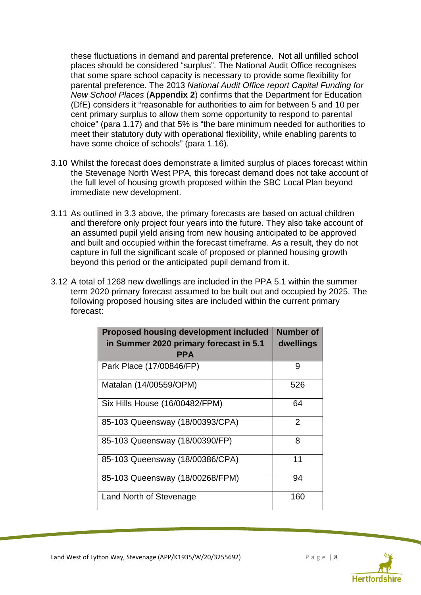these fluctuations in demand and parental preference. Not all unfilled school places should be considered "surplus". The National Audit Office recognises that some spare school capacity is necessary to provide some flexibility for parental preference. The 2013 *National Audit Office report Capital Funding for New School Places* (**Appendix 2**) confirms that the Department for Education (DfE) considers it "reasonable for authorities to aim for between 5 and 10 per cent primary surplus to allow them some opportunity to respond to parental choice" (para 1.17) and that 5% is "the bare minimum needed for authorities to meet their statutory duty with operational flexibility, while enabling parents to have some choice of schools" (para 1.16).

- 3.10 Whilst the forecast does demonstrate a limited surplus of places forecast within the Stevenage North West PPA, this forecast demand does not take account of the full level of housing growth proposed within the SBC Local Plan beyond immediate new development.
- 3.11 As outlined in 3.3 above, the primary forecasts are based on actual children and therefore only project four years into the future. They also take account of an assumed pupil yield arising from new housing anticipated to be approved and built and occupied within the forecast timeframe. As a result, they do not capture in full the significant scale of proposed or planned housing growth beyond this period or the anticipated pupil demand from it.
- 3.12 A total of 1268 new dwellings are included in the PPA 5.1 within the summer term 2020 primary forecast assumed to be built out and occupied by 2025. The following proposed housing sites are included within the current primary forecast:

| <b>Proposed housing development included</b><br>in Summer 2020 primary forecast in 5.1 | <b>Number of</b><br>dwellings |
|----------------------------------------------------------------------------------------|-------------------------------|
| PPA                                                                                    |                               |
| Park Place (17/00846/FP)                                                               | 9                             |
| Matalan (14/00559/OPM)                                                                 | 526                           |
| Six Hills House (16/00482/FPM)                                                         | 64                            |
| 85-103 Queensway (18/00393/CPA)                                                        | 2                             |
| 85-103 Queensway (18/00390/FP)                                                         | 8                             |
| 85-103 Queensway (18/00386/CPA)                                                        | 11                            |
| 85-103 Queensway (18/00268/FPM)                                                        | 94                            |
| Land North of Stevenage                                                                | 160                           |

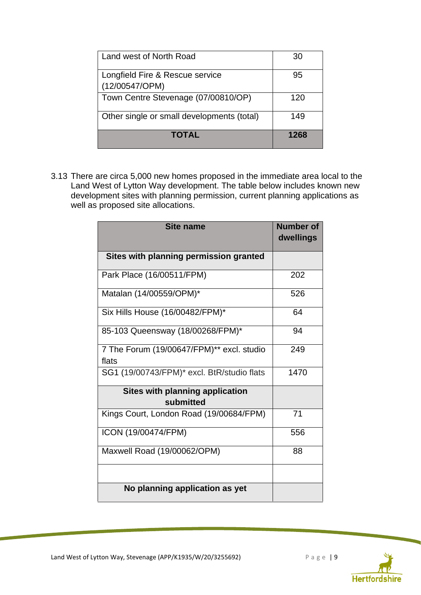| Land west of North Road                           | 30   |
|---------------------------------------------------|------|
| Longfield Fire & Rescue service<br>(12/00547/OPM) | 95   |
| Town Centre Stevenage (07/00810/OP)               | 120  |
| Other single or small developments (total)        | 149  |
| <b>TOTAL</b>                                      | 1268 |

3.13 There are circa 5,000 new homes proposed in the immediate area local to the Land West of Lytton Way development. The table below includes known new development sites with planning permission, current planning applications as well as proposed site allocations.

| Site name                                           | <b>Number of</b><br>dwellings |
|-----------------------------------------------------|-------------------------------|
| Sites with planning permission granted              |                               |
| Park Place (16/00511/FPM)                           | 202                           |
| Matalan (14/00559/OPM)*                             | 526                           |
| Six Hills House (16/00482/FPM)*                     | 64                            |
| 85-103 Queensway (18/00268/FPM)*                    | 94                            |
| 7 The Forum (19/00647/FPM)** excl. studio<br>flats  | 249                           |
| SG1 (19/00743/FPM)* excl. BtR/studio flats          | 1470                          |
| <b>Sites with planning application</b><br>submitted |                               |
| Kings Court, London Road (19/00684/FPM)             | 71                            |
| ICON (19/00474/FPM)                                 | 556                           |
| Maxwell Road (19/00062/OPM)                         | 88                            |
|                                                     |                               |
| No planning application as yet                      |                               |

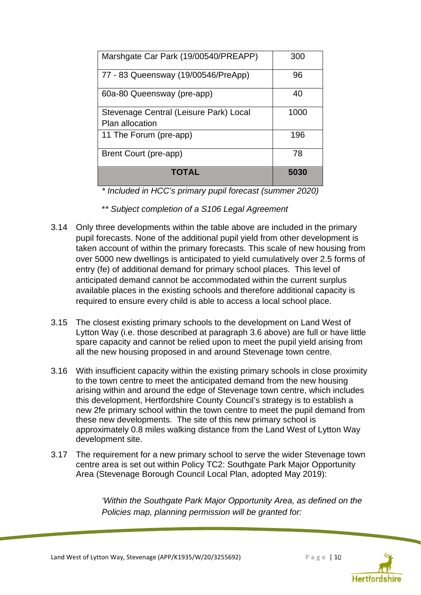| Marshgate Car Park (19/00540/PREAPP)   | 300  |
|----------------------------------------|------|
| 77 - 83 Queensway (19/00546/PreApp)    | 96   |
| 60a-80 Queensway (pre-app)             | 40   |
| Stevenage Central (Leisure Park) Local | 1000 |
| Plan allocation                        |      |
| 11 The Forum (pre-app)                 | 196  |
| Brent Court (pre-app)                  | 78   |
| <b>TOTAL</b>                           | 5030 |

*\* Included in HCC's primary pupil forecast (summer 2020)* 

\**\* Subject completion of a S106 Legal Agreement* 

- 3.14 Only three developments within the table above are included in the primary pupil forecasts. None of the additional pupil yield from other development is taken account of within the primary forecasts. This scale of new housing from over 5000 new dwellings is anticipated to yield cumulatively over 2.5 forms of entry (fe) of additional demand for primary school places. This level of anticipated demand cannot be accommodated within the current surplus available places in the existing schools and therefore additional capacity is required to ensure every child is able to access a local school place.
- 3.15 The closest existing primary schools to the development on Land West of Lytton Way (i.e. those described at paragraph 3.6 above) are full or have little spare capacity and cannot be relied upon to meet the pupil yield arising from all the new housing proposed in and around Stevenage town centre.
- 3.16 With insufficient capacity within the existing primary schools in close proximity to the town centre to meet the anticipated demand from the new housing arising within and around the edge of Stevenage town centre, which includes this development, Hertfordshire County Council's strategy is to establish a new 2fe primary school within the town centre to meet the pupil demand from these new developments. The site of this new primary school is approximately 0.8 miles walking distance from the Land West of Lytton Way development site.
- 3.17 The requirement for a new primary school to serve the wider Stevenage town centre area is set out within Policy TC2: Southgate Park Major Opportunity Area (Stevenage Borough Council Local Plan, adopted May 2019):

*'Within the Southgate Park Major Opportunity Area, as defined on the Policies map, planning permission will be granted for:* 

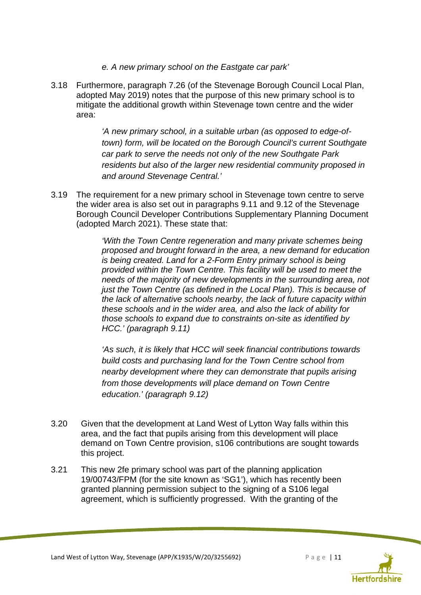#### *e. A new primary school on the Eastgate car park'*

3.18 Furthermore, paragraph 7.26 (of the Stevenage Borough Council Local Plan, adopted May 2019) notes that the purpose of this new primary school is to mitigate the additional growth within Stevenage town centre and the wider area:

> *'A new primary school, in a suitable urban (as opposed to edge-oftown) form, will be located on the Borough Council's current Southgate car park to serve the needs not only of the new Southgate Park residents but also of the larger new residential community proposed in and around Stevenage Central.'*

3.19 The requirement for a new primary school in Stevenage town centre to serve the wider area is also set out in paragraphs 9.11 and 9.12 of the Stevenage Borough Council Developer Contributions Supplementary Planning Document (adopted March 2021). These state that:

> *'With the Town Centre regeneration and many private schemes being proposed and brought forward in the area, a new demand for education is being created. Land for a 2-Form Entry primary school is being provided within the Town Centre. This facility will be used to meet the needs of the majority of new developments in the surrounding area, not just the Town Centre (as defined in the Local Plan). This is because of the lack of alternative schools nearby, the lack of future capacity within these schools and in the wider area, and also the lack of ability for those schools to expand due to constraints on-site as identified by HCC.' (paragraph 9.11)*

*'As such, it is likely that HCC will seek financial contributions towards build costs and purchasing land for the Town Centre school from nearby development where they can demonstrate that pupils arising from those developments will place demand on Town Centre education.' (paragraph 9.12)* 

- 3.20 Given that the development at Land West of Lytton Way falls within this area, and the fact that pupils arising from this development will place demand on Town Centre provision, s106 contributions are sought towards this project.
- 3.21 This new 2fe primary school was part of the planning application 19/00743/FPM (for the site known as 'SG1'), which has recently been granted planning permission subject to the signing of a S106 legal agreement, which is sufficiently progressed. With the granting of the



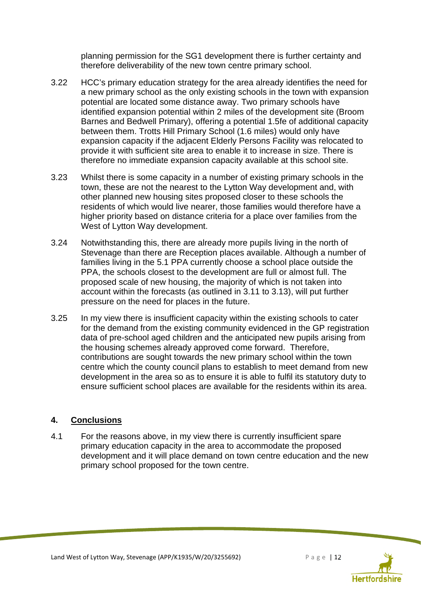planning permission for the SG1 development there is further certainty and therefore deliverability of the new town centre primary school.

- 3.22 HCC's primary education strategy for the area already identifies the need for a new primary school as the only existing schools in the town with expansion potential are located some distance away. Two primary schools have identified expansion potential within 2 miles of the development site (Broom Barnes and Bedwell Primary), offering a potential 1.5fe of additional capacity between them. Trotts Hill Primary School (1.6 miles) would only have expansion capacity if the adjacent Elderly Persons Facility was relocated to provide it with sufficient site area to enable it to increase in size. There is therefore no immediate expansion capacity available at this school site.
- 3.23 Whilst there is some capacity in a number of existing primary schools in the town, these are not the nearest to the Lytton Way development and, with other planned new housing sites proposed closer to these schools the residents of which would live nearer, those families would therefore have a higher priority based on distance criteria for a place over families from the West of Lytton Way development.
- 3.24 Notwithstanding this, there are already more pupils living in the north of Stevenage than there are Reception places available. Although a number of families living in the 5.1 PPA currently choose a school place outside the PPA, the schools closest to the development are full or almost full. The proposed scale of new housing, the majority of which is not taken into account within the forecasts (as outlined in 3.11 to 3.13), will put further pressure on the need for places in the future.
- 3.25 In my view there is insufficient capacity within the existing schools to cater for the demand from the existing community evidenced in the GP registration data of pre-school aged children and the anticipated new pupils arising from the housing schemes already approved come forward. Therefore, contributions are sought towards the new primary school within the town centre which the county council plans to establish to meet demand from new development in the area so as to ensure it is able to fulfil its statutory duty to ensure sufficient school places are available for the residents within its area.

#### **4. Conclusions**

4.1 For the reasons above, in my view there is currently insufficient spare primary education capacity in the area to accommodate the proposed development and it will place demand on town centre education and the new primary school proposed for the town centre.

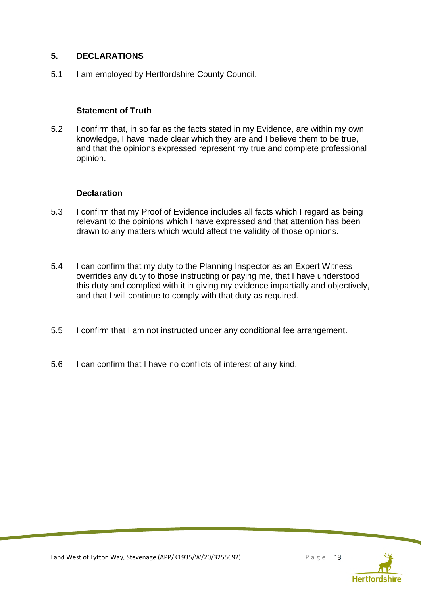#### **5. DECLARATIONS**

5.1 I am employed by Hertfordshire County Council.

#### **Statement of Truth**

5.2 I confirm that, in so far as the facts stated in my Evidence, are within my own knowledge, I have made clear which they are and I believe them to be true, and that the opinions expressed represent my true and complete professional opinion.

#### **Declaration**

- 5.3 I confirm that my Proof of Evidence includes all facts which I regard as being relevant to the opinions which I have expressed and that attention has been drawn to any matters which would affect the validity of those opinions.
- 5.4 I can confirm that my duty to the Planning Inspector as an Expert Witness overrides any duty to those instructing or paying me, that I have understood this duty and complied with it in giving my evidence impartially and objectively, and that I will continue to comply with that duty as required.
- 5.5 I confirm that I am not instructed under any conditional fee arrangement.
- 5.6 I can confirm that I have no conflicts of interest of any kind.

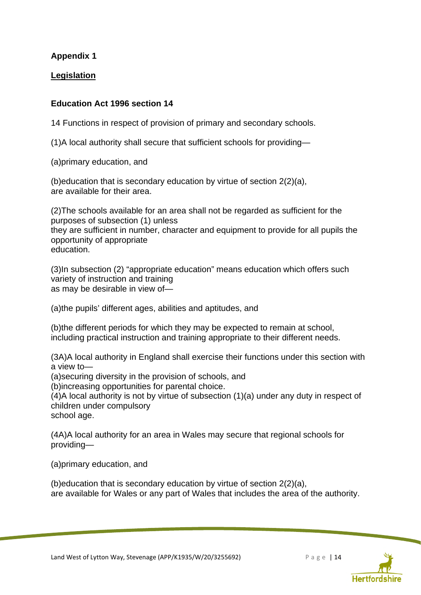# **Appendix 1**

**Legislation** 

#### **Education Act 1996 section 14**

14 Functions in respect of provision of primary and secondary schools.

(1)A local authority shall secure that sufficient schools for providing—

(a)primary education, and

(b)education that is secondary education by virtue of section 2(2)(a), are available for their area.

(2)The schools available for an area shall not be regarded as sufficient for the purposes of subsection (1) unless they are sufficient in number, character and equipment to provide for all pupils the opportunity of appropriate education.

(3)In subsection (2) "appropriate education" means education which offers such variety of instruction and training as may be desirable in view of—

(a)the pupils' different ages, abilities and aptitudes, and

(b)the different periods for which they may be expected to remain at school, including practical instruction and training appropriate to their different needs.

(3A)A local authority in England shall exercise their functions under this section with a view to—

(a)securing diversity in the provision of schools, and

(b)increasing opportunities for parental choice.

(4)A local authority is not by virtue of subsection (1)(a) under any duty in respect of children under compulsory

school age.

(4A)A local authority for an area in Wales may secure that regional schools for providing—

(a)primary education, and

(b)education that is secondary education by virtue of section 2(2)(a), are available for Wales or any part of Wales that includes the area of the authority.



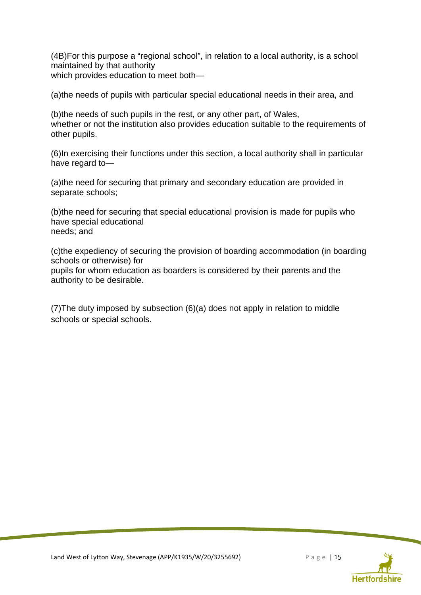(4B)For this purpose a "regional school", in relation to a local authority, is a school maintained by that authority which provides education to meet both—

(a)the needs of pupils with particular special educational needs in their area, and

(b)the needs of such pupils in the rest, or any other part, of Wales, whether or not the institution also provides education suitable to the requirements of other pupils.

(6)In exercising their functions under this section, a local authority shall in particular have regard to—

(a)the need for securing that primary and secondary education are provided in separate schools;

(b)the need for securing that special educational provision is made for pupils who have special educational needs; and

(c)the expediency of securing the provision of boarding accommodation (in boarding schools or otherwise) for pupils for whom education as boarders is considered by their parents and the authority to be desirable.

(7)The duty imposed by subsection (6)(a) does not apply in relation to middle schools or special schools.